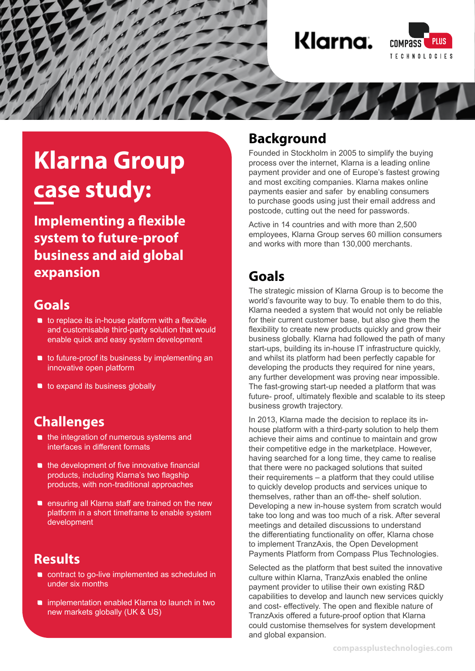

# **Klarna Group case study:**

**Implementing a flexible system to future-proof business and aid global expansion**

### **Goals**

- **•** to replace its in-house platform with a flexible and customisable third-party solution that would enable quick and easy system development
- **to future-proof its business by implementing an** innovative open platform
- $\blacksquare$  to expand its business globally

# **Challenges**

- the integration of numerous systems and interfaces in different formats
- $\blacksquare$  the development of five innovative financial products, including Klarna's two flagship products, with non-traditional approaches
- **ensuring all Klarna staff are trained on the new** platform in a short timeframe to enable system development

# **Results**

- **contract to go-live implemented as scheduled in** under six months
- implementation enabled Klarna to launch in two new markets globally (UK & US)

#### **Background**

Founded in Stockholm in 2005 to simplify the buying process over the internet, Klarna is a leading online payment provider and one of Europe's fastest growing and most exciting companies. Klarna makes online payments easier and safer by enabling consumers to purchase goods using just their email address and postcode, cutting out the need for passwords.

Active in 14 countries and with more than 2,500 employees, Klarna Group serves 60 million consumers and works with more than 130,000 merchants.

# **Goals**

The strategic mission of Klarna Group is to become the world's favourite way to buy. To enable them to do this, Klarna needed a system that would not only be reliable for their current customer base, but also give them the flexibility to create new products quickly and grow their business globally. Klarna had followed the path of many start-ups, building its in-house IT infrastructure quickly, and whilst its platform had been perfectly capable for developing the products they required for nine years, any further development was proving near impossible. The fast-growing start-up needed a platform that was future- proof, ultimately flexible and scalable to its steep business growth trajectory.

In 2013, Klarna made the decision to replace its inhouse platform with a third-party solution to help them achieve their aims and continue to maintain and grow their competitive edge in the marketplace. However, having searched for a long time, they came to realise that there were no packaged solutions that suited their requirements – a platform that they could utilise to quickly develop products and services unique to themselves, rather than an off-the- shelf solution. Developing a new in-house system from scratch would take too long and was too much of a risk. After several meetings and detailed discussions to understand the differentiating functionality on offer, Klarna chose to implement TranzAxis, the Open Development Payments Platform from Compass Plus Technologies.

Selected as the platform that best suited the innovative culture within Klarna, TranzAxis enabled the online payment provider to utilise their own existing R&D capabilities to develop and launch new services quickly and cost- effectively. The open and flexible nature of TranzAxis offered a future-proof option that Klarna could customise themselves for system development and global expansion.